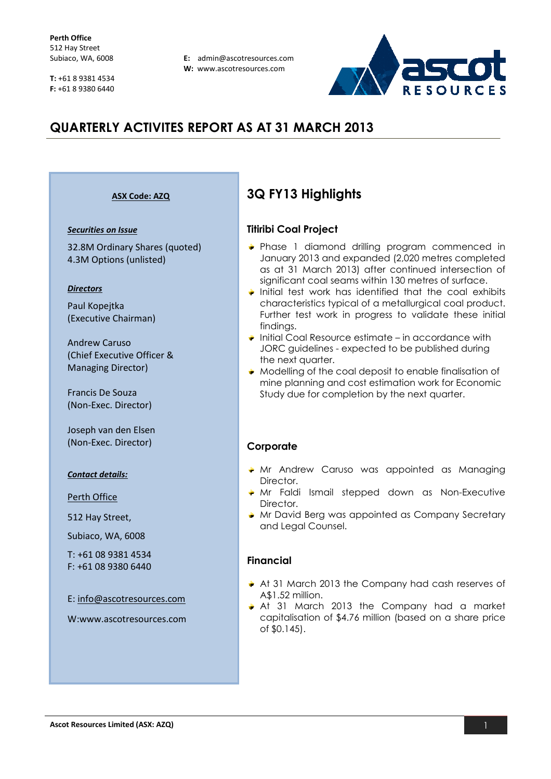Perth Office 512 Hay Street Subiaco, WA, 6008

T: +61 8 9381 4534 F: +61 8 9380 6440

E: admin@ascotresources.com W: www.ascotresources.com



# QUARTERLY ACTIVITES REPORT AS AT 31 MARCH 2013

#### ASX Code: AZQ

#### Securities on Issue

32.8M Ordinary Shares (quoted) 4.3M Options (unlisted)

#### **Directors**

Paul Kopejtka (Executive Chairman)

Andrew Caruso (Chief Executive Officer & Managing Director)

Francis De Souza (Non-Exec. Director)

Joseph van den Elsen (Non-Exec. Director)

#### Contact details:

Perth Office

512 Hay Street,

Subiaco, WA, 6008

T: +61 08 9381 4534 F: +61 08 9380 6440

E: info@ascotresources.com

W:www.ascotresources.com

## 3Q FY13 Highlights

### Titiribi Coal Project

- ◆ Phase 1 diamond drilling program commenced in January 2013 and expanded (2,020 metres completed as at 31 March 2013) after continued intersection of significant coal seams within 130 metres of surface.
- $\rightarrow$  Initial test work has identified that the coal exhibits characteristics typical of a metallurgical coal product. Further test work in progress to validate these initial findings.
- $\bullet$  Initial Coal Resource estimate in accordance with JORC guidelines - expected to be published during the next quarter.
- $\bullet$  Modelling of the coal deposit to enable finalisation of mine planning and cost estimation work for Economic Study due for completion by the next quarter.

## **Corporate**

- Mr Andrew Caruso was appointed as Managing Director.
- Mr Faldi Ismail stepped down as Non-Executive Director.
- **Mr David Berg was appointed as Company Secretary** and Legal Counsel.

### Financial

- At 31 March 2013 the Company had cash reserves of A\$1.52 million.
- At 31 March 2013 the Company had a market capitalisation of \$4.76 million (based on a share price of \$0.145).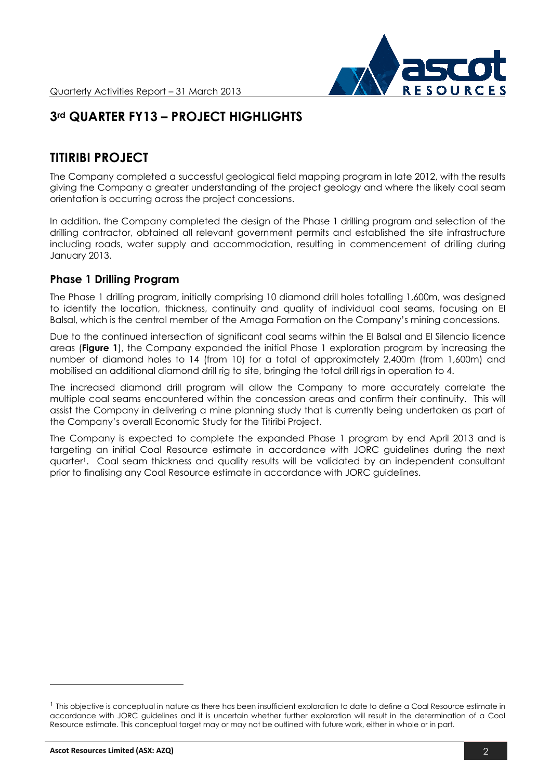

# 3rd QUARTER FY13 - PROJECT HIGHLIGHTS

# TITIRIBI PROJECT

The Company completed a successful geological field mapping program in late 2012, with the results giving the Company a greater understanding of the project geology and where the likely coal seam orientation is occurring across the project concessions.

In addition, the Company completed the design of the Phase 1 drilling program and selection of the drilling contractor, obtained all relevant government permits and established the site infrastructure including roads, water supply and accommodation, resulting in commencement of drilling during January 2013.

## Phase 1 Drilling Program

The Phase 1 drilling program, initially comprising 10 diamond drill holes totalling 1,600m, was designed to identify the location, thickness, continuity and quality of individual coal seams, focusing on El Balsal, which is the central member of the Amaga Formation on the Company's mining concessions.

Due to the continued intersection of significant coal seams within the El Balsal and El Silencio licence areas (Figure 1), the Company expanded the initial Phase 1 exploration program by increasing the number of diamond holes to 14 (from 10) for a total of approximately 2,400m (from 1,600m) and mobilised an additional diamond drill rig to site, bringing the total drill rigs in operation to 4.

The increased diamond drill program will allow the Company to more accurately correlate the multiple coal seams encountered within the concession areas and confirm their continuity. This will assist the Company in delivering a mine planning study that is currently being undertaken as part of the Company's overall Economic Study for the Titiribi Project.

The Company is expected to complete the expanded Phase 1 program by end April 2013 and is targeting an initial Coal Resource estimate in accordance with JORC guidelines during the next quarter1. Coal seam thickness and quality results will be validated by an independent consultant prior to finalising any Coal Resource estimate in accordance with JORC guidelines.

-

<sup>&</sup>lt;sup>1</sup> This objective is conceptual in nature as there has been insufficient exploration to date to define a Coal Resource estimate in accordance with JORC guidelines and it is uncertain whether further exploration will result in the determination of a Coal Resource estimate. This conceptual target may or may not be outlined with future work, either in whole or in part.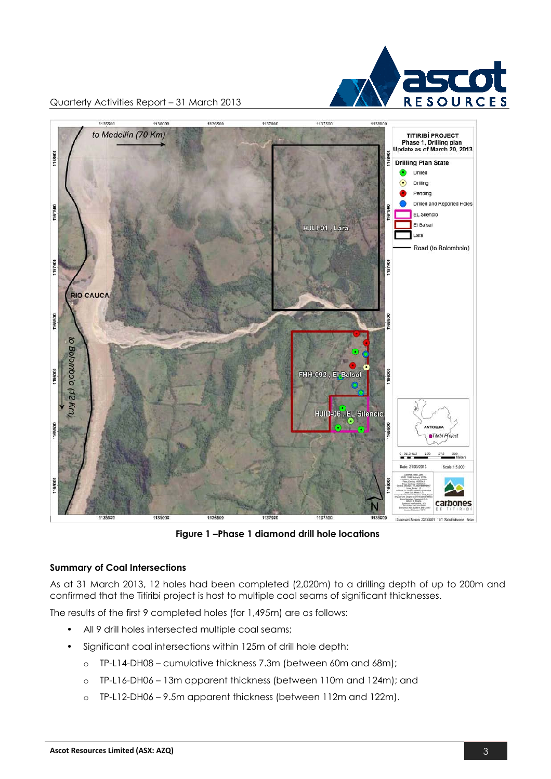

Quarterly Activities Report – 31 March 2013



Figure 1 –Phase 1 diamond drill hole locations

## Summary of Coal Intersections

As at 31 March 2013, 12 holes had been completed (2,020m) to a drilling depth of up to 200m and confirmed that the Titiribi project is host to multiple coal seams of significant thicknesses.

The results of the first 9 completed holes (for 1,495m) are as follows:

- All 9 drill holes intersected multiple coal seams;
- Significant coal intersections within 125m of drill hole depth:
	- o TP-L14-DH08 cumulative thickness 7.3m (between 60m and 68m);
	- o TP-L16-DH06 13m apparent thickness (between 110m and 124m); and
	- o TP-L12-DH06 9.5m apparent thickness (between 112m and 122m).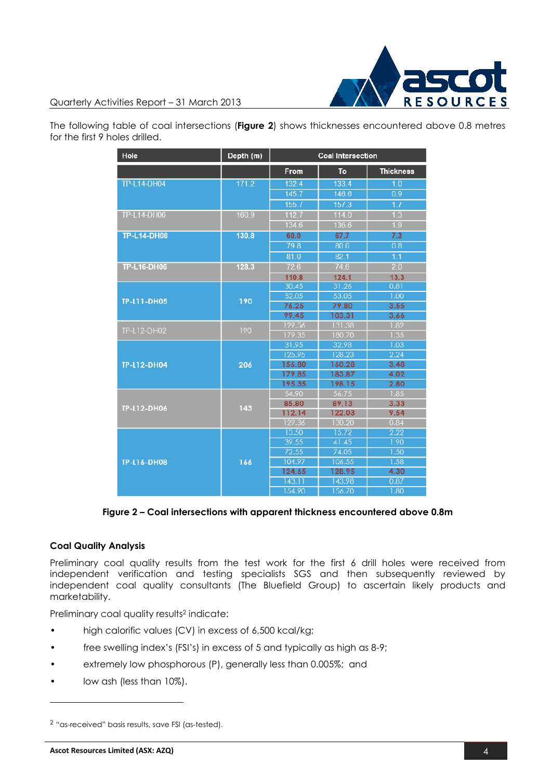

#### Quarterly Activities Report – 31 March 2013

The following table of coal intersections (Figure 2) shows thicknesses encountered above 0.8 metres for the first 9 holes drilled.

| Hole                | Depth (m) | <b>Coal Intersection</b> |                 |                  |
|---------------------|-----------|--------------------------|-----------------|------------------|
|                     |           | <b>From</b>              | To              | <b>Thickness</b> |
| <b>TP-L14-DH04</b>  | 171.2     | 132.4                    | 133.4           | 1.0              |
|                     |           | 145.7                    | 146.6           | 0.9              |
|                     |           | 155.7                    | 157.3           | 1.7              |
| <b>TP-1 14-DH06</b> | 160.9     | 112.7                    | 114.0           | 1.3              |
|                     |           | 134.6                    | 136.6           | 1.9              |
| <b>TP-L14-DH08</b>  | 130.8     | 60.0                     | 67.7            | 7.3              |
|                     |           | 79.8                     | 80.6            | 0.8              |
|                     |           | 81.0                     | 82.1            | 1.1              |
| TP-L16-DH06         | 128.3     | 72.6                     | 74.6            | 2.0              |
|                     |           | 110.8                    | 124.1           | 13.3             |
| <b>TP-L11-DH05</b>  | 190       | 30.45                    | 31.26           | 0.81             |
|                     |           | 52.05                    | 53.05           | 1.00             |
|                     |           | 76.25                    | 79.80           | 3.55             |
|                     |           | 99.45                    | 103.31          | 3.66             |
| TP-L12-DH02         | 190       | 129.56                   | 131.38          | 1.82             |
|                     |           | 179.35                   | 180.70          | 1.35             |
| <b>TP-L12-DH04</b>  | 206       | 31.95                    | 32.98           | 1.03             |
|                     |           | 125.95                   | 128.23          | 2.24             |
|                     |           | 156.80                   | 160.28          | 3.48             |
|                     |           | 179.85                   | 183.87          | 4.02             |
|                     |           | 195.35                   | 198.15          | 2.80             |
| <b>TP-L12-DH06</b>  | 143       | 54.90                    | 56.75           | 1.85             |
|                     |           | 85.80                    | 89.13           | 3.33             |
|                     |           | 112.14<br>129.36         | 122.03          | 9.54             |
|                     |           | 13.50                    | 130.20<br>15.72 | 0.84<br>2.22     |
| <b>TP-L16-DH08</b>  | 166       | 39.55                    | 41.45           | 1.90             |
|                     |           | 72.55                    | 74.05           | 1.50             |
|                     |           | 104.97                   | 106.55          | 1.58             |
|                     |           | 124.65                   | 128.95          | 4.30             |
|                     |           | 143.11                   | 143.98          | 0.87             |
|                     |           | 154.90                   | 156.70          | 1.80             |

Figure 2 – Coal intersections with apparent thickness encountered above 0.8m

## Coal Quality Analysis

Preliminary coal quality results from the test work for the first 6 drill holes were received from independent verification and testing specialists SGS and then subsequently reviewed by independent coal quality consultants (The Bluefield Group) to ascertain likely products and marketability.

Preliminary coal quality results<sup>2</sup> indicate:

- high calorific values (CV) in excess of 6,500 kcal/kg;
- free swelling index's (FSI's) in excess of 5 and typically as high as 8-9;
- extremely low phosphorous (P), generally less than 0.005%; and
- low ash (less than 10%).

l

<sup>2</sup> "as-received" basis results, save FSI (as-tested).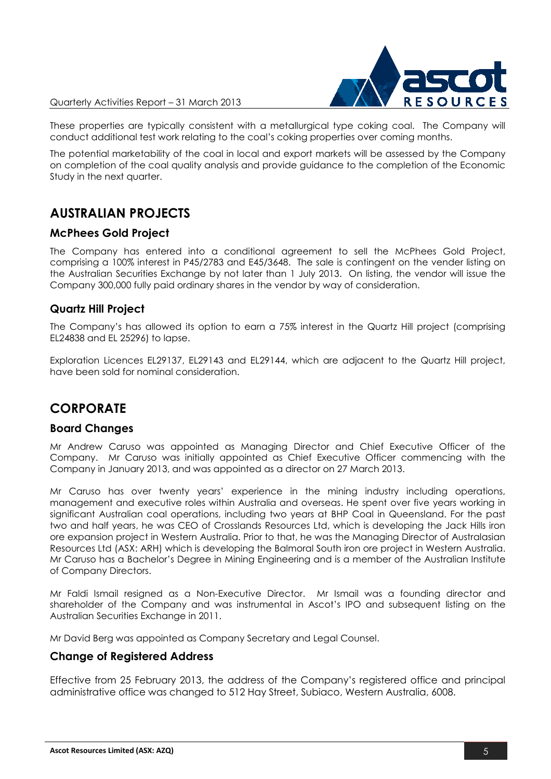

Quarterly Activities Report – 31 March 2013

These properties are typically consistent with a metallurgical type coking coal. The Company will conduct additional test work relating to the coal's coking properties over coming months.

The potential marketability of the coal in local and export markets will be assessed by the Company on completion of the coal quality analysis and provide guidance to the completion of the Economic Study in the next quarter.

## AUSTRALIAN PROJECTS

## McPhees Gold Project

The Company has entered into a conditional agreement to sell the McPhees Gold Project, comprising a 100% interest in P45/2783 and E45/3648. The sale is contingent on the vender listing on the Australian Securities Exchange by not later than 1 July 2013. On listing, the vendor will issue the Company 300,000 fully paid ordinary shares in the vendor by way of consideration.

## Quartz Hill Project

The Company's has allowed its option to earn a 75% interest in the Quartz Hill project (comprising EL24838 and EL 25296) to lapse.

Exploration Licences EL29137, EL29143 and EL29144, which are adjacent to the Quartz Hill project, have been sold for nominal consideration.

## **CORPORATE**

## Board Changes

Mr Andrew Caruso was appointed as Managing Director and Chief Executive Officer of the Company. Mr Caruso was initially appointed as Chief Executive Officer commencing with the Company in January 2013, and was appointed as a director on 27 March 2013.

Mr Caruso has over twenty years' experience in the mining industry including operations, management and executive roles within Australia and overseas. He spent over five years working in significant Australian coal operations, including two years at BHP Coal in Queensland. For the past two and half years, he was CEO of Crosslands Resources Ltd, which is developing the Jack Hills iron ore expansion project in Western Australia. Prior to that, he was the Managing Director of Australasian Resources Ltd (ASX: ARH) which is developing the Balmoral South iron ore project in Western Australia. Mr Caruso has a Bachelor's Degree in Mining Engineering and is a member of the Australian Institute of Company Directors.

Mr Faldi Ismail resigned as a Non-Executive Director. Mr Ismail was a founding director and shareholder of the Company and was instrumental in Ascot's IPO and subsequent listing on the Australian Securities Exchange in 2011.

Mr David Berg was appointed as Company Secretary and Legal Counsel.

## Change of Registered Address

Effective from 25 February 2013, the address of the Company's registered office and principal administrative office was changed to 512 Hay Street, Subiaco, Western Australia, 6008.